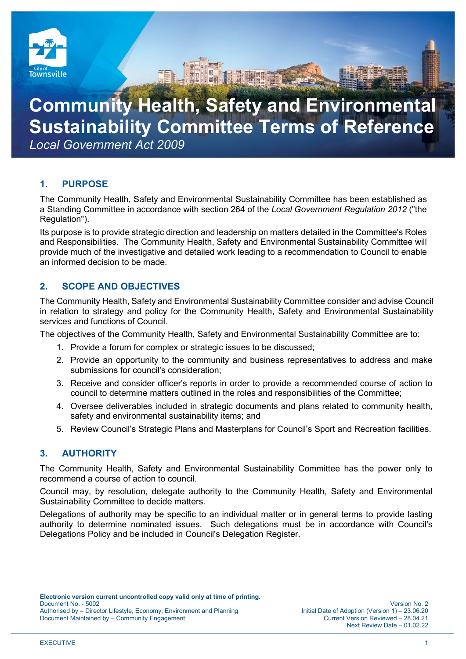

# **Community Health, Safety and Environmental Sustainability Committee Terms of Reference** *Local Government Act 2009*

# **1. PURPOSE**

The Community Health, Safety and Environmental Sustainability Committee has been established as a Standing Committee in accordance with section 264 of the *Local Government Regulation 2012* ("the Regulation").

Its purpose is to provide strategic direction and leadership on matters detailed in the Committee's Roles and Responsibilities. The Community Health, Safety and Environmental Sustainability Committee will provide much of the investigative and detailed work leading to a recommendation to Council to enable an informed decision to be made.

# **2. SCOPE AND OBJECTIVES**

The Community Health, Safety and Environmental Sustainability Committee consider and advise Council in relation to strategy and policy for the Community Health, Safety and Environmental Sustainability services and functions of Council.

The objectives of the Community Health, Safety and Environmental Sustainability Committee are to:

- 1. Provide a forum for complex or strategic issues to be discussed;
- 2. Provide an opportunity to the community and business representatives to address and make submissions for council's consideration;
- 3. Receive and consider officer's reports in order to provide a recommended course of action to council to determine matters outlined in the roles and responsibilities of the Committee;
- 4. Oversee deliverables included in strategic documents and plans related to community health, safety and environmental sustainability items; and
- 5. Review Council's Strategic Plans and Masterplans for Council's Sport and Recreation facilities.

# **3. AUTHORITY**

The Community Health, Safety and Environmental Sustainability Committee has the power only to recommend a course of action to council.

Council may, by resolution, delegate authority to the Community Health, Safety and Environmental Sustainability Committee to decide matters.

Delegations of authority may be specific to an individual matter or in general terms to provide lasting authority to determine nominated issues. Such delegations must be in accordance with Council's Delegations Policy and be included in Council's Delegation Register.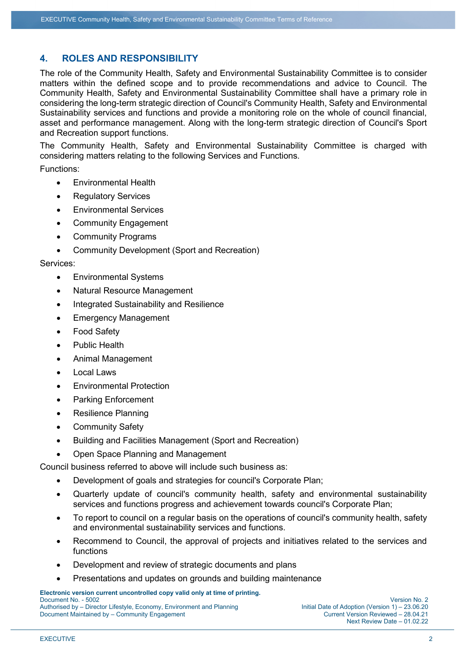# **4. ROLES AND RESPONSIBILITY**

The role of the Community Health, Safety and Environmental Sustainability Committee is to consider matters within the defined scope and to provide recommendations and advice to Council. The Community Health, Safety and Environmental Sustainability Committee shall have a primary role in considering the long-term strategic direction of Council's Community Health, Safety and Environmental Sustainability services and functions and provide a monitoring role on the whole of council financial, asset and performance management. Along with the long-term strategic direction of Council's Sport and Recreation support functions.

The Community Health, Safety and Environmental Sustainability Committee is charged with considering matters relating to the following Services and Functions.

Functions:

- Environmental Health
- Regulatory Services
- Environmental Services
- Community Engagement
- Community Programs
- Community Development (Sport and Recreation)

Services:

- Environmental Systems
- Natural Resource Management
- Integrated Sustainability and Resilience
- Emergency Management
- Food Safety
- Public Health
- Animal Management
- Local Laws
- Environmental Protection
- Parking Enforcement
- Resilience Planning
- Community Safety
- Building and Facilities Management (Sport and Recreation)
- Open Space Planning and Management

Council business referred to above will include such business as:

- Development of goals and strategies for council's Corporate Plan;
- Quarterly update of council's community health, safety and environmental sustainability services and functions progress and achievement towards council's Corporate Plan;
- To report to council on a regular basis on the operations of council's community health, safety and environmental sustainability services and functions.
- Recommend to Council, the approval of projects and initiatives related to the services and functions
- Development and review of strategic documents and plans
- Presentations and updates on grounds and building maintenance

**Electronic version current uncontrolled copy valid only at time of printing.** 

Document No. - 5002 Version No. 2 Authorised by – Director Lifestyle, Economy, Environment and Planning Document Maintained by – Community Engagement Current Version Reviewed – 28.04.21

Next Review Date – 01.02.22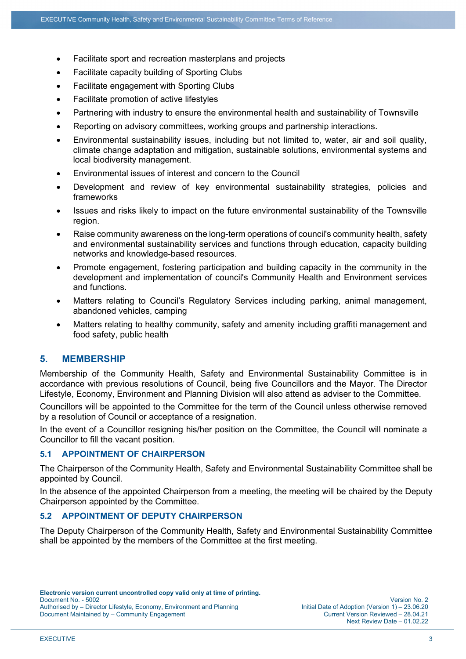- Facilitate sport and recreation masterplans and projects
- Facilitate capacity building of Sporting Clubs
- Facilitate engagement with Sporting Clubs
- Facilitate promotion of active lifestyles
- Partnering with industry to ensure the environmental health and sustainability of Townsville
- Reporting on advisory committees, working groups and partnership interactions.
- Environmental sustainability issues, including but not limited to, water, air and soil quality, climate change adaptation and mitigation, sustainable solutions, environmental systems and local biodiversity management.
- Environmental issues of interest and concern to the Council
- Development and review of key environmental sustainability strategies, policies and frameworks
- Issues and risks likely to impact on the future environmental sustainability of the Townsville region.
- Raise community awareness on the long-term operations of council's community health, safety and environmental sustainability services and functions through education, capacity building networks and knowledge-based resources.
- Promote engagement, fostering participation and building capacity in the community in the development and implementation of council's Community Health and Environment services and functions.
- Matters relating to Council's Regulatory Services including parking, animal management, abandoned vehicles, camping
- Matters relating to healthy community, safety and amenity including graffiti management and food safety, public health

## **5. MEMBERSHIP**

Membership of the Community Health, Safety and Environmental Sustainability Committee is in accordance with previous resolutions of Council, being five Councillors and the Mayor. The Director Lifestyle, Economy, Environment and Planning Division will also attend as adviser to the Committee.

Councillors will be appointed to the Committee for the term of the Council unless otherwise removed by a resolution of Council or acceptance of a resignation.

In the event of a Councillor resigning his/her position on the Committee, the Council will nominate a Councillor to fill the vacant position.

#### **5.1 APPOINTMENT OF CHAIRPERSON**

The Chairperson of the Community Health, Safety and Environmental Sustainability Committee shall be appointed by Council.

In the absence of the appointed Chairperson from a meeting, the meeting will be chaired by the Deputy Chairperson appointed by the Committee.

#### **5.2 APPOINTMENT OF DEPUTY CHAIRPERSON**

The Deputy Chairperson of the Community Health, Safety and Environmental Sustainability Committee shall be appointed by the members of the Committee at the first meeting.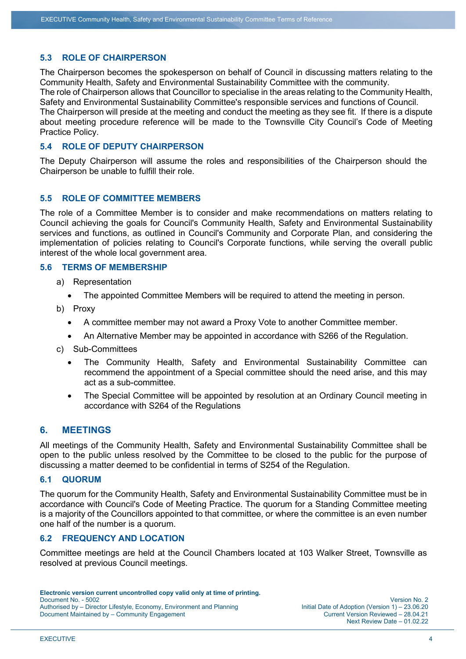# **5.3 ROLE OF CHAIRPERSON**

The Chairperson becomes the spokesperson on behalf of Council in discussing matters relating to the Community Health, Safety and Environmental Sustainability Committee with the community. The role of Chairperson allows that Councillor to specialise in the areas relating to the Community Health, Safety and Environmental Sustainability Committee's responsible services and functions of Council. The Chairperson will preside at the meeting and conduct the meeting as they see fit. If there is a dispute about meeting procedure reference will be made to the Townsville City Council's Code of Meeting Practice Policy.

## **5.4 ROLE OF DEPUTY CHAIRPERSON**

The Deputy Chairperson will assume the roles and responsibilities of the Chairperson should the Chairperson be unable to fulfill their role.

#### **5.5 ROLE OF COMMITTEE MEMBERS**

The role of a Committee Member is to consider and make recommendations on matters relating to Council achieving the goals for Council's Community Health, Safety and Environmental Sustainability services and functions, as outlined in Council's Community and Corporate Plan, and considering the implementation of policies relating to Council's Corporate functions, while serving the overall public interest of the whole local government area.

#### **5.6 TERMS OF MEMBERSHIP**

- a) Representation
	- The appointed Committee Members will be required to attend the meeting in person.
- b) Proxy
	- A committee member may not award a Proxy Vote to another Committee member.
	- An Alternative Member may be appointed in accordance with S266 of the Regulation.
- c) Sub-Committees
	- The Community Health, Safety and Environmental Sustainability Committee can recommend the appointment of a Special committee should the need arise, and this may act as a sub-committee.
	- The Special Committee will be appointed by resolution at an Ordinary Council meeting in accordance with S264 of the Regulations

# **6. MEETINGS**

All meetings of the Community Health, Safety and Environmental Sustainability Committee shall be open to the public unless resolved by the Committee to be closed to the public for the purpose of discussing a matter deemed to be confidential in terms of S254 of the Regulation.

#### **6.1 QUORUM**

The quorum for the Community Health, Safety and Environmental Sustainability Committee must be in accordance with Council's Code of Meeting Practice. The quorum for a Standing Committee meeting is a majority of the Councillors appointed to that committee, or where the committee is an even number one half of the number is a quorum.

#### **6.2 FREQUENCY AND LOCATION**

Committee meetings are held at the Council Chambers located at 103 Walker Street, Townsville as resolved at previous Council meetings.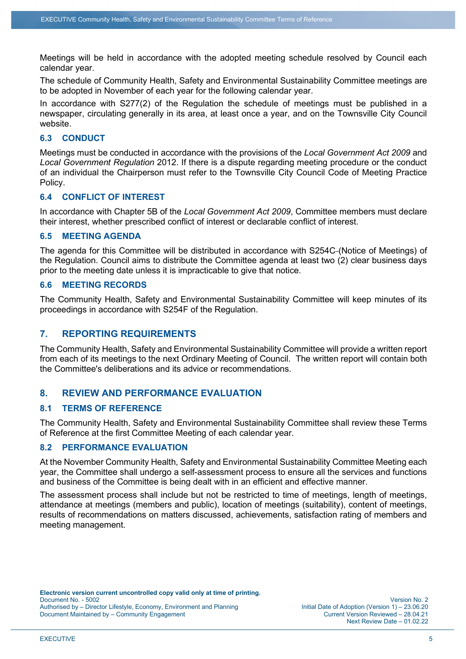Meetings will be held in accordance with the adopted meeting schedule resolved by Council each calendar year.

The schedule of Community Health, Safety and Environmental Sustainability Committee meetings are to be adopted in November of each year for the following calendar year.

In accordance with S277(2) of the Regulation the schedule of meetings must be published in a newspaper, circulating generally in its area, at least once a year, and on the Townsville City Council website.

## **6.3 CONDUCT**

Meetings must be conducted in accordance with the provisions of the *Local Government Act 2009* and *Local Government Regulation* 2012. If there is a dispute regarding meeting procedure or the conduct of an individual the Chairperson must refer to the Townsville City Council Code of Meeting Practice Policy.

#### **6.4 CONFLICT OF INTEREST**

In accordance with Chapter 5B of the *Local Government Act 2009*, Committee members must declare their interest, whether prescribed conflict of interest or declarable conflict of interest.

# **6.5 MEETING AGENDA**

The agenda for this Committee will be distributed in accordance with S254C (Notice of Meetings) of the Regulation. Council aims to distribute the Committee agenda at least two (2) clear business days prior to the meeting date unless it is impracticable to give that notice.

#### **6.6 MEETING RECORDS**

The Community Health, Safety and Environmental Sustainability Committee will keep minutes of its proceedings in accordance with S254F of the Regulation.

#### **7. REPORTING REQUIREMENTS**

The Community Health, Safety and Environmental Sustainability Committee will provide a written report from each of its meetings to the next Ordinary Meeting of Council. The written report will contain both the Committee's deliberations and its advice or recommendations.

#### **8. REVIEW AND PERFORMANCE EVALUATION**

#### **8.1 TERMS OF REFERENCE**

The Community Health, Safety and Environmental Sustainability Committee shall review these Terms of Reference at the first Committee Meeting of each calendar year.

#### **8.2 PERFORMANCE EVALUATION**

At the November Community Health, Safety and Environmental Sustainability Committee Meeting each year, the Committee shall undergo a self-assessment process to ensure all the services and functions and business of the Committee is being dealt with in an efficient and effective manner.

The assessment process shall include but not be restricted to time of meetings, length of meetings, attendance at meetings (members and public), location of meetings (suitability), content of meetings, results of recommendations on matters discussed, achievements, satisfaction rating of members and meeting management.

Next Review Date – 01.02.22